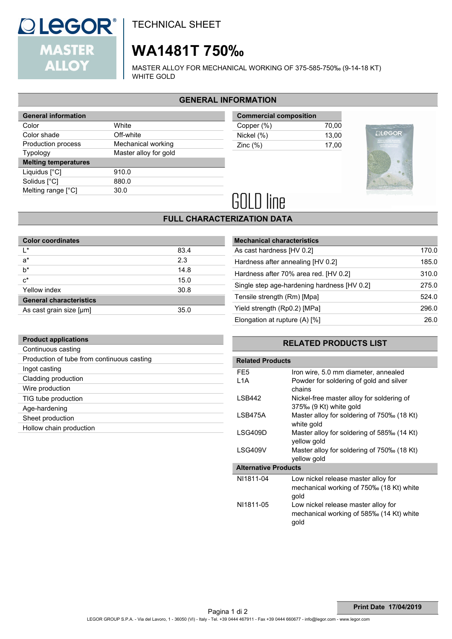

TECHNICAL SHEET

# **WA1481T 750‰**

MASTER ALLOY FOR MECHANICAL WORKING OF 375-585-750‰ (9-14-18 KT) WHITE GOLD

## **GENERAL INFORMATION**

| <b>General information</b>  |                       |
|-----------------------------|-----------------------|
| Color                       | White                 |
| Color shade                 | Off-white             |
| Production process          | Mechanical working    |
| <b>Typology</b>             | Master alloy for gold |
| <b>Melting temperatures</b> |                       |
| Liquidus [°C]               | 910.0                 |
| Solidus [°C]                |                       |
|                             | 880.0                 |
| Melting range [°C]          | 30.0                  |

| <b>Commercial composition</b> |       |
|-------------------------------|-------|
| Copper (%)                    | 70.00 |
| Nickel (%)                    | 13.00 |
| Zinc $(\%)$                   | 17.00 |



# **GOLD** line

## **FULL CHARACTERIZATION DATA**

| <b>Color coordinates</b>       |      |
|--------------------------------|------|
| ı∗                             | 83.4 |
| $a^*$                          | 2.3  |
| $b^*$                          | 14.8 |
| $c^*$                          | 15.0 |
| Yellow index                   | 30.8 |
| <b>General characteristics</b> |      |
| As cast grain size [µm]        | 35.0 |

| <b>Mechanical characteristics</b>           |       |
|---------------------------------------------|-------|
| As cast hardness [HV 0.2]                   | 170.0 |
| Hardness after annealing [HV 0.2]           | 185.0 |
| Hardness after 70% area red. [HV 0.2]       | 310.0 |
| Single step age-hardening hardness [HV 0.2] | 275.0 |
| Tensile strength (Rm) [Mpa]                 | 524.0 |
| Yield strength (Rp0.2) [MPa]                | 296.0 |
| Elongation at rupture (A) [%]               | 26.0  |

| <b>Product applications</b>                |
|--------------------------------------------|
| Continuous casting                         |
| Production of tube from continuous casting |
| Ingot casting                              |
| Cladding production                        |
| Wire production                            |
| TIG tube production                        |
| Age-hardening                              |
| Sheet production                           |
| Hollow chain production                    |
|                                            |

### **RELATED PRODUCTS LIST**

| <b>Related Products</b>     |                                                                                         |
|-----------------------------|-----------------------------------------------------------------------------------------|
| FE <sub>5</sub>             | Iron wire, 5.0 mm diameter, annealed                                                    |
| L <sub>1</sub> A            | Powder for soldering of gold and silver<br>chains                                       |
| LSB442                      | Nickel-free master alloy for soldering of<br>375‰ (9 Kt) white gold                     |
| LSB475A                     | Master alloy for soldering of 750‰ (18 Kt)<br>white gold                                |
| LSG409D                     | Master alloy for soldering of 585‰ (14 Kt)<br>vellow gold                               |
| LSG409V                     | Master alloy for soldering of 750‰ (18 Kt)<br>vellow gold                               |
| <b>Alternative Products</b> |                                                                                         |
| NI1811-04                   | Low nickel release master alloy for<br>mechanical working of 750‰ (18 Kt) white<br>gold |
| NI1811-05                   | Low nickel release master alloy for<br>mechanical working of 585‰ (14 Kt) white<br>gold |